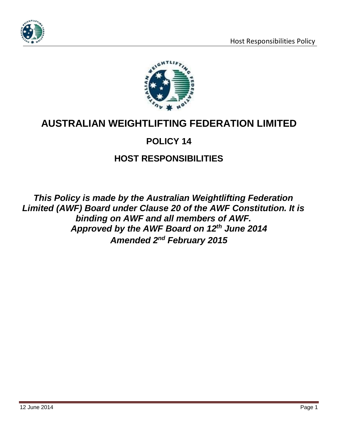



# **AUSTRALIAN WEIGHTLIFTING FEDERATION LIMITED**

# **POLICY 14**

# **HOST RESPONSIBILITIES**

*This Policy is made by the Australian Weightlifting Federation Limited (AWF) Board under Clause 20 of the AWF Constitution. It is binding on AWF and all members of AWF. Approved by the AWF Board on 12th June 2014 Amended 2nd February 2015*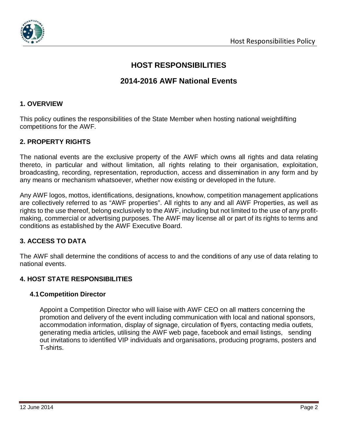

# **HOST RESPONSIBILITIES**

# **2014-2016 AWF National Events**

# **1. OVERVIEW**

This policy outlines the responsibilities of the State Member when hosting national weightlifting competitions for the AWF.

## **2. PROPERTY RIGHTS**

The national events are the exclusive property of the AWF which owns all rights and data relating thereto, in particular and without limitation, all rights relating to their organisation, exploitation, broadcasting, recording, representation, reproduction, access and dissemination in any form and by any means or mechanism whatsoever, whether now existing or developed in the future.

Any AWF logos, mottos, identifications, designations, knowhow, competition management applications are collectively referred to as "AWF properties". All rights to any and all AWF Properties, as well as rights to the use thereof, belong exclusively to the AWF, including but not limited to the use of any profitmaking, commercial or advertising purposes. The AWF may license all or part of its rights to terms and conditions as established by the AWF Executive Board.

# **3. ACCESS TO DATA**

The AWF shall determine the conditions of access to and the conditions of any use of data relating to national events.

# **4. HOST STATE RESPONSIBILITIES**

#### **4.1Competition Director**

Appoint a Competition Director who will liaise with AWF CEO on all matters concerning the promotion and delivery of the event including communication with local and national sponsors, accommodation information, display of signage, circulation of flyers, contacting media outlets, generating media articles, utilising the AWF web page, facebook and email listings, sending out invitations to identified VIP individuals and organisations, producing programs, posters and T-shirts.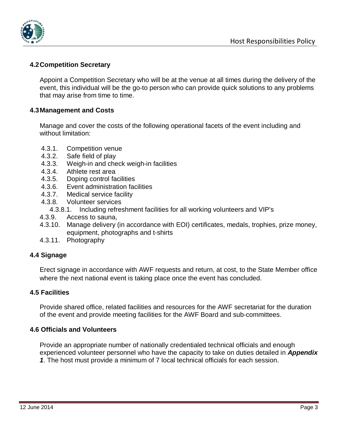

# **4.2Competition Secretary**

Appoint a Competition Secretary who will be at the venue at all times during the delivery of the event, this individual will be the go-to person who can provide quick solutions to any problems that may arise from time to time.

## **4.3Management and Costs**

Manage and cover the costs of the following operational facets of the event including and without limitation:

- 4.3.1. Competition venue
- 4.3.2. Safe field of play<br>4.3.3. Weigh-in and che
- Weigh-in and check weigh-in facilities
- 4.3.4. Athlete rest area
- 4.3.5. Doping control facilities
- 4.3.6. Event administration facilities
- 4.3.7. Medical service facility
- 4.3.8. Volunteer services
	- 4.3.8.1. Including refreshment facilities for all working volunteers and VIP's
- 4.3.9. Access to sauna,
- 4.3.10. Manage delivery (in accordance with EOI) certificates, medals, trophies, prize money, equipment, photographs and t-shirts
- 4.3.11. Photography

# **4.4 Signage**

Erect signage in accordance with AWF requests and return, at cost, to the State Member office where the next national event is taking place once the event has concluded.

#### **4.5 Facilities**

Provide shared office, related facilities and resources for the AWF secretariat for the duration of the event and provide meeting facilities for the AWF Board and sub-committees.

#### **4.6 Officials and Volunteers**

Provide an appropriate number of nationally credentialed technical officials and enough experienced volunteer personnel who have the capacity to take on duties detailed in *Appendix 1*. The host must provide a minimum of 7 local technical officials for each session.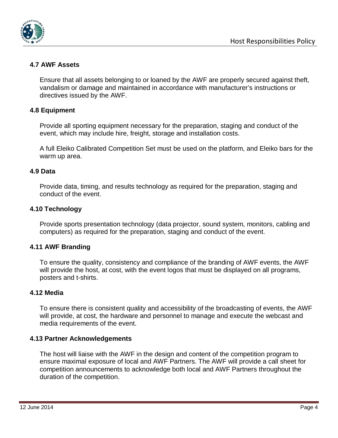

# **4.7 AWF Assets**

Ensure that all assets belonging to or loaned by the AWF are properly secured against theft, vandalism or damage and maintained in accordance with manufacturer's instructions or directives issued by the AWF.

# **4.8 Equipment**

Provide all sporting equipment necessary for the preparation, staging and conduct of the event, which may include hire, freight, storage and installation costs.

A full Eleiko Calibrated Competition Set must be used on the platform, and Eleiko bars for the warm up area.

## **4.9 Data**

Provide data, timing, and results technology as required for the preparation, staging and conduct of the event.

## **4.10 Technology**

Provide sports presentation technology (data projector, sound system, monitors, cabling and computers) as required for the preparation, staging and conduct of the event.

#### **4.11 AWF Branding**

To ensure the quality, consistency and compliance of the branding of AWF events, the AWF will provide the host, at cost, with the event logos that must be displayed on all programs, posters and t-shirts.

#### **4.12 Media**

To ensure there is consistent quality and accessibility of the broadcasting of events, the AWF will provide, at cost, the hardware and personnel to manage and execute the webcast and media requirements of the event.

#### **4.13 Partner Acknowledgements**

The host will liaise with the AWF in the design and content of the competition program to ensure maximal exposure of local and AWF Partners. The AWF will provide a call sheet for competition announcements to acknowledge both local and AWF Partners throughout the duration of the competition.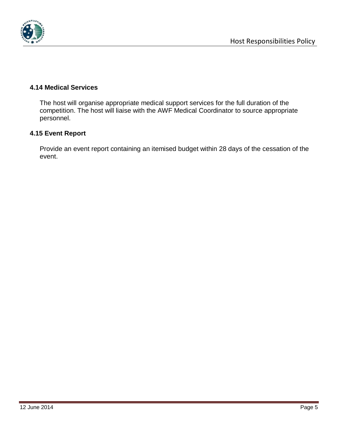

# **4.14 Medical Services**

The host will organise appropriate medical support services for the full duration of the competition. The host will liaise with the AWF Medical Coordinator to source appropriate personnel.

## **4.15 Event Report**

Provide an event report containing an itemised budget within 28 days of the cessation of the event.